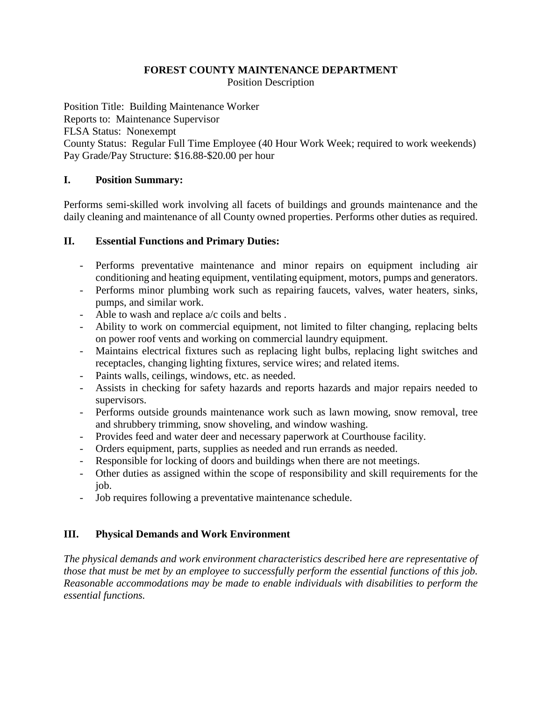### **FOREST COUNTY MAINTENANCE DEPARTMENT** Position Description

Position Title: Building Maintenance Worker Reports to: Maintenance Supervisor FLSA Status: Nonexempt County Status: Regular Full Time Employee (40 Hour Work Week; required to work weekends) Pay Grade/Pay Structure: \$16.88-\$20.00 per hour

# **I. Position Summary:**

Performs semi-skilled work involving all facets of buildings and grounds maintenance and the daily cleaning and maintenance of all County owned properties. Performs other duties as required.

# **II. Essential Functions and Primary Duties:**

- Performs preventative maintenance and minor repairs on equipment including air conditioning and heating equipment, ventilating equipment, motors, pumps and generators.
- Performs minor plumbing work such as repairing faucets, valves, water heaters, sinks, pumps, and similar work.
- Able to wash and replace a/c coils and belts.
- Ability to work on commercial equipment, not limited to filter changing, replacing belts on power roof vents and working on commercial laundry equipment.
- Maintains electrical fixtures such as replacing light bulbs, replacing light switches and receptacles, changing lighting fixtures, service wires; and related items.
- Paints walls, ceilings, windows, etc. as needed.
- Assists in checking for safety hazards and reports hazards and major repairs needed to supervisors.
- Performs outside grounds maintenance work such as lawn mowing, snow removal, tree and shrubbery trimming, snow shoveling, and window washing.
- Provides feed and water deer and necessary paperwork at Courthouse facility.
- Orders equipment, parts, supplies as needed and run errands as needed.
- Responsible for locking of doors and buildings when there are not meetings.
- Other duties as assigned within the scope of responsibility and skill requirements for the job.
- Job requires following a preventative maintenance schedule.

# **III. Physical Demands and Work Environment**

*The physical demands and work environment characteristics described here are representative of those that must be met by an employee to successfully perform the essential functions of this job. Reasonable accommodations may be made to enable individuals with disabilities to perform the essential functions.*